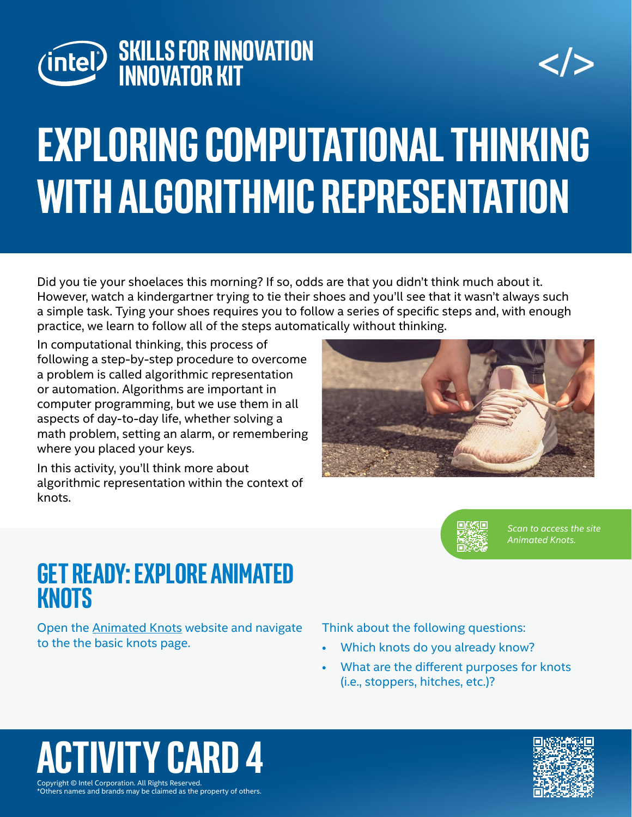



# **exploring computational thinking with algorithmic representation**

Did you tie your shoelaces this morning? If so, odds are that you didn't think much about it. However, watch a kindergartner trying to tie their shoes and you'll see that it wasn't always such a simple task. Tying your shoes requires you to follow a series of specific steps and, with enough practice, we learn to follow all of the steps automatically without thinking.

In computational thinking, this process of following a step-by-step procedure to overcome a problem is called algorithmic representation or automation. Algorithms are important in computer programming, but we use them in all aspects of day-to-day life, whether solving a math problem, setting an alarm, or remembering where you placed your keys.

In this activity, you'll think more about algorithmic representation within the context of knots.





*Scan to access the site Animated Knots.*

### **Get Ready: Explore Animated Knots**

Open the [Animated Knots](https://www.animatedknots.com/basic-knots) website and navigate to the the basic knots page.

Think about the following questions:

- Which knots do you already know?
- What are the different purposes for knots (i.e., stoppers, hitches, etc.)?

### Copyright © Intel Corporation. All Rights Reserved. **ACTIV CARD**



\*Others names and brands may be claimed as the property of others.